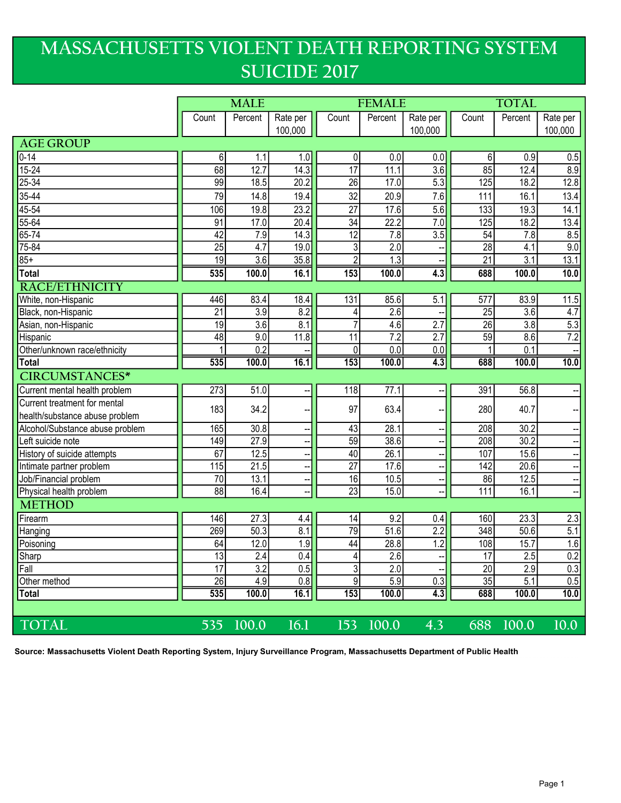## MASSACHUSETTS VIOLENT DEATH REPORTING SYSTEM SUICIDE 2017

|                                 | <b>MALE</b>     |                   |                          | <b>FEMALE</b>   |                  |                  | <b>TOTAL</b>    |                  |                  |
|---------------------------------|-----------------|-------------------|--------------------------|-----------------|------------------|------------------|-----------------|------------------|------------------|
|                                 | Count           | Percent           | Rate per                 | Count           | Percent          | Rate per         | Count           | Percent          | Rate per         |
|                                 |                 |                   | 100,000                  |                 |                  | 100,000          |                 |                  | 100,000          |
| <b>AGE GROUP</b>                |                 |                   |                          |                 |                  |                  |                 |                  |                  |
| $\overline{0.14}$               | 6               | 1.1               | 1.0                      | 0               | 0.0              | 0.0              | 6               | 0.9              | 0.5              |
| $15 - 24$                       | 68              | 12.7              | 14.3                     | $\overline{17}$ | 11.1             | 3.6              | 85              | 12.4             | 8.9              |
| $25 - 34$                       | 99              | 18.5              | 20.2                     | $\overline{26}$ | 17.0             | 5.3              | 125             | 18.2             | 12.8             |
| 35-44                           | 79              | 14.8              | 19.4                     | 32              | 20.9             | 7.6              | 111             | 16.1             | 13.4             |
| $45 - 54$                       | 106             | 19.8              | 23.2                     | $\overline{27}$ | 17.6             | 5.6              | 133             | 19.3             | 14.1             |
| $55 - 64$                       | 91              | 17.0              | 20.4                     | $\overline{34}$ | 22.2             | 7.0              | 125             | 18.2             | 13.4             |
| $65 - 74$                       | 42              | 7.9               | 14.3                     | $\overline{12}$ | 7.8              | 3.5              | 54              | 7.8              | 8.5              |
| $75 - 84$                       | $\overline{25}$ | 4.7               | 19.0                     | $\overline{3}$  | $\overline{2.0}$ |                  | $\overline{28}$ | 4.1              | 9.0              |
| $85+$                           | $\overline{19}$ | $\overline{3.6}$  | 35.8                     | $\overline{2}$  | $\overline{1.3}$ |                  | $\overline{21}$ | $\overline{3.1}$ | 13.1             |
| Total                           | 535             | 100.0             | 16.1                     | 153             | 100.0            | 4.3              | 688             | 100.0            | 10.0             |
| <b>RACE/ETHNICITY</b>           |                 |                   |                          |                 |                  |                  |                 |                  |                  |
| White, non-Hispanic             | 446             | 83.4              | 18.4                     | 131             | 85.6             | 5.1              | 577             | 83.9             | 11.5             |
| Black, non-Hispanic             | 21              | 3.9               | 8.2                      | 4               | 2.6              |                  | $\overline{25}$ | 3.6              | 4.7              |
| Asian, non-Hispanic             | 19              | 3.6               | 8.1                      | $\overline{7}$  | 4.6              | 2.7              | $\overline{26}$ | 3.8              | 5.3              |
| Hispanic                        | 48              | 9.0               | 11.8                     | 11              | $\overline{7.2}$ | $\overline{2.7}$ | 59              | 8.6              | $\overline{7.2}$ |
| Other/unknown race/ethnicity    |                 | $\overline{0.2}$  |                          | $\mathbf 0$     | 0.0              | 0.0              |                 | 0.1              |                  |
| Total                           | 535             | 100.0             | 16.1                     | 153             | 100.0            | $\overline{4.3}$ | 688             | 100.0            | 10.0             |
| <b>CIRCUMSTANCES*</b>           |                 |                   |                          |                 |                  |                  |                 |                  |                  |
| Current mental health problem   | 273             | 51.0              |                          | 118             | 77.1             |                  | 391             | 56.8             |                  |
| Current treatment for mental    | 183             | 34.2              |                          | 97              | 63.4             |                  | 280             | 40.7             |                  |
| health/substance abuse problem  |                 |                   |                          |                 |                  |                  |                 |                  |                  |
| Alcohol/Substance abuse problem | 165             | 30.8              | --                       | 43              | 28.1             |                  | 208             | 30.2             |                  |
| Left suicide note               | 149             | 27.9              |                          | 59              | 38.6             |                  | 208             | 30.2             |                  |
| History of suicide attempts     | 67              | 12.5              |                          | 40              | 26.1             |                  | 107             | 15.6             |                  |
| Intimate partner problem        | 115             | 21.5              | $\overline{\phantom{a}}$ | $\overline{27}$ | 17.6             |                  | 142             | 20.6             |                  |
| Job/Financial problem           | $\overline{70}$ | 13.1              | ÷                        | 16              | 10.5             |                  | 86              | 12.5             | --               |
| Physical health problem         | 88              | 16.4              |                          | $\overline{23}$ | 15.0             |                  | 111             | 16.1             |                  |
| <b>METHOD</b>                   |                 |                   |                          |                 |                  |                  |                 |                  |                  |
| Firearm                         | 146             | 27.3              | 4.4                      | 14              | 9.2              | 0.4              | 160             | 23.3             | 2.3              |
| Hanging                         | 269             | $\overline{50.3}$ | 8.1                      | 79              | 51.6             | 2.2              | 348             | 50.6             | $\overline{5.1}$ |
| Poisoning                       | 64              | 12.0              | 1.9                      | 44              | 28.8             | 1.2              | 108             | 15.7             | 1.6              |
| Sharp                           | 13              | 2.4               | 0.4                      | 4               | 2.6              |                  | 17              | 2.5              | 0.2              |
| Fall                            | $\overline{17}$ | $\overline{3.2}$  | 0.5                      | $\overline{3}$  | $\overline{2.0}$ |                  | $\overline{20}$ | 2.9              | 0.3              |
| Other method                    | $\overline{26}$ | 4.9               | 0.8                      | 9               | 5.9              | 0.3              | $\overline{35}$ | 5.1              | 0.5              |
| <b>Total</b>                    | 535             | 100.0             | 16.1                     | 153             | 100.0            | $\overline{4.3}$ | 688             | 100.0            | 10.0             |
|                                 |                 |                   |                          |                 |                  |                  |                 |                  |                  |
| <b>TOTAL</b>                    | 535             | 100.0             | 16.1                     | 153             | 100.0            | 4.3              | 688             | 100.0            | 10.0             |

Source: Massachusetts Violent Death Reporting System, Injury Surveillance Program, Massachusetts Department of Public Health